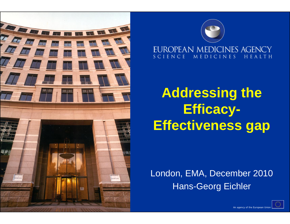



### **Addressing the Efficacy-Effectiveness gap**

London, EMA, December 2010 Hans-Georg Eichler

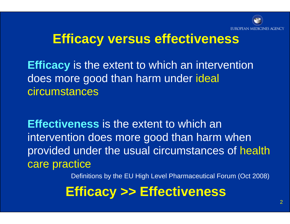

#### **Efficacy versus effectiveness**

**Efficacy** is the extent to which an intervention does more good than harm under ideal circumstances

**Effectiveness** is the extent to which an intervention does more good than harm when provided under the usual circumstances of health care practice

Definitions by the EU High Level Pharmaceutical Forum (Oct 2008)

#### **Efficacy >> Effectiveness**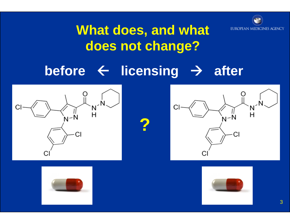

#### **What does, and what does not change?**

#### **before**  Å **licensing**   $\rightarrow$ **after**

**?**







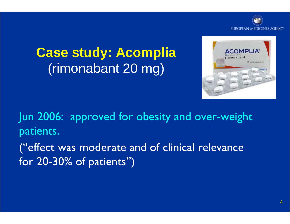

**Case study: Acomplia**  (rimonabant 20 mg)



Jun 2006: approved for obesity and over-weight patients.

("effect was moderate and of clinical relevance for 20-30% of patients")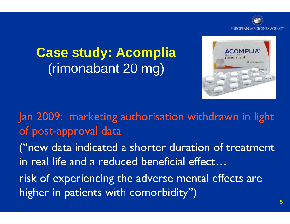

#### **Case study: Acomplia**  (rimonabant 20 mg)



Jan 2009: marketing authorisation withdrawn in light of post-approval data

("new data indicated a shorter duration of treatment in real life and a reduced beneficial effect…

risk of experiencing the adverse mental effects are higher in patients with comorbidity")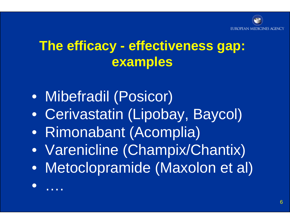#### **The efficacy - effectiveness gap: examples**

• Mibefradil (Posicor)

• ….

- Cerivastatin (Lipobay, Baycol)
- Rimonabant (Acomplia)
- Varenicline (Champix/Chantix)
- Metoclopramide (Maxolon et al)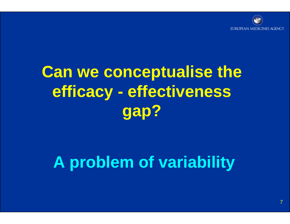

### **Can we conceptualise the efficacy - effectiveness gap?**

### **A problem of variability**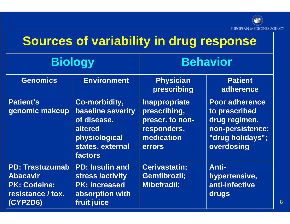

#### **Sources of variability in drug response**

| <b>Biology</b>                                                                                    |                                                                                                                     | <b>Behavior</b>                                                                                |                                                                                                               |
|---------------------------------------------------------------------------------------------------|---------------------------------------------------------------------------------------------------------------------|------------------------------------------------------------------------------------------------|---------------------------------------------------------------------------------------------------------------|
| <b>Genomics</b>                                                                                   | <b>Environment</b>                                                                                                  | <b>Physician</b><br>prescribing                                                                | <b>Patient</b><br>adherence                                                                                   |
| <b>Patient's</b><br>genomic makeup                                                                | Co-morbidity,<br><b>baseline severity</b><br>of disease,<br>altered<br>physiological<br>states, external<br>factors | <b>Inappropriate</b><br>prescribing,<br>prescr. to non-<br>responders,<br>medication<br>errors | <b>Poor adherence</b><br>to prescribed<br>drug regimen,<br>non-persistence;<br>"drug holidays";<br>overdosing |
| <b>PD: Trastuzumab</b><br><b>Abacavir</b><br><b>PK: Codeine:</b><br>resistance / tox.<br>(CYP2D6) | <b>PD: Insulin and</b><br>stress /activity<br><b>PK: increased</b><br>absorption with<br>fruit juice                | <b>Cerivastatin;</b><br>Gemfibrozil;<br><b>Mibefradil;</b>                                     | <b>Anti-</b><br>hypertensive,<br>anti-infective<br>drugs                                                      |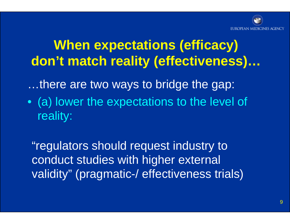

#### **When expectations (efficacy) don't match reality (effectiveness)…**

…there are two ways to bridge the gap:

• (a) lower the expectations to the level of reality:

"regulators should request industry to conduct studies with higher external validity" (pragmatic-/ effectiveness trials)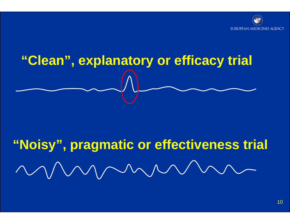

# **"Clean", explanatory or efficacy trial**

## **"Noisy", pragmatic or effectiveness trial**MMMMMMM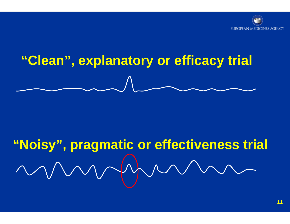

## **"Clean", explanatory or efficacy trial**

## **"Noisy", pragmatic or effectiveness trial**

11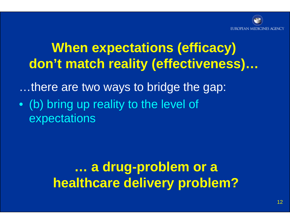

#### **When expectations (efficacy) don't match reality (effectiveness)…**

…there are two ways to bridge the gap:

• (b) bring up reality to the level of expectations

> **… a drug-problem or a healthcare delivery problem?**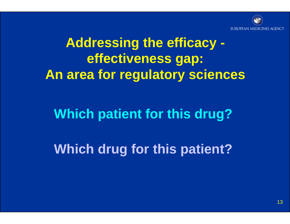

#### **Addressing the efficacy effectiveness gap: An area for regulatory sciences**

#### **Which patient for this drug?**

**Which drug for this patient?**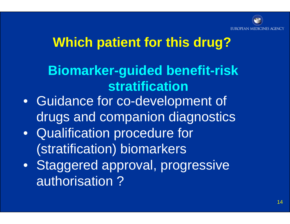

#### **Which patient for this drug?**

#### **Biomarker-guided benefit-risk stratification**

- Guidance for co-development of drugs and companion diagnostics
- Qualification procedure for (stratification) biomarkers
- Staggered approval, progressive authorisation ?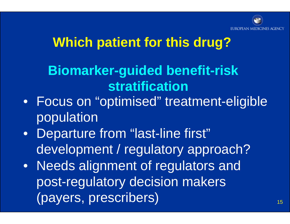

#### **Which patient for this drug?**

#### **Biomarker-guided benefit-risk stratification**

- Focus on "optimised" treatment-eligible population
- Departure from "last-line first" development / regulatory approach?
- Needs alignment of regulators and post-regulatory decision makers (payers, prescribers)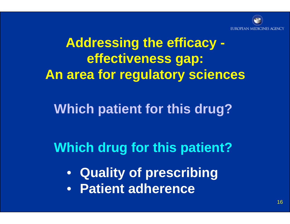

#### **Addressing the efficacy effectiveness gap: An area for regulatory sciences**

#### **Which patient for this drug?**

#### **Which drug for this patient?**

- **Quality of prescribing**
- **Patient adherence**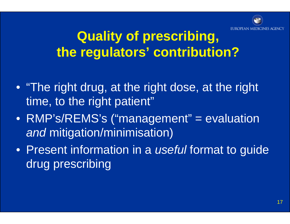

#### **Quality of prescribing, the regulators' contribution?**

- "The right drug, at the right dose, at the right time, to the right patient"
- RMP's/REMS's ("management" = evaluation *and* mitigation/minimisation)
- Present information in a *useful* format to guide drug prescribing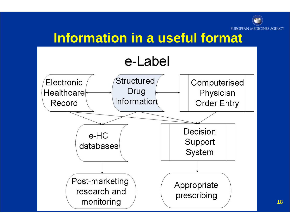

#### **Information in a useful format**

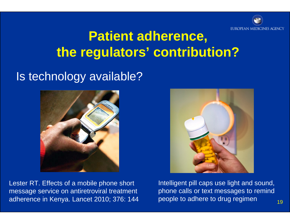

#### **Patient adherence, the regulators' contribution?**

#### Is technology available?







Intelligent pill caps use light and sound, phone calls or text messages to remind people to adhere to drug regimen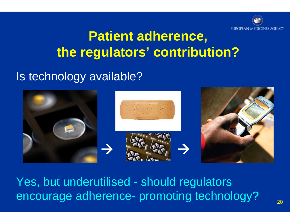

#### **Patient adherence, the regulators' contribution?**

#### Is technology available?



Yes, but underutilised - should regulators encourage adherence- promoting technology?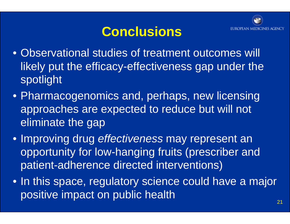

#### **Conclusions**

- Observational studies of treatment outcomes will likely put the efficacy-effectiveness gap under the spotlight
- Pharmacogenomics and, perhaps, new licensing approaches are expected to reduce but will not eliminate the gap
- Improving drug *effectiveness* may represent an opportunity for low-hanging fruits (prescriber and patient-adherence directed interventions)
- In this space, regulatory science could have a major positive impact on public health